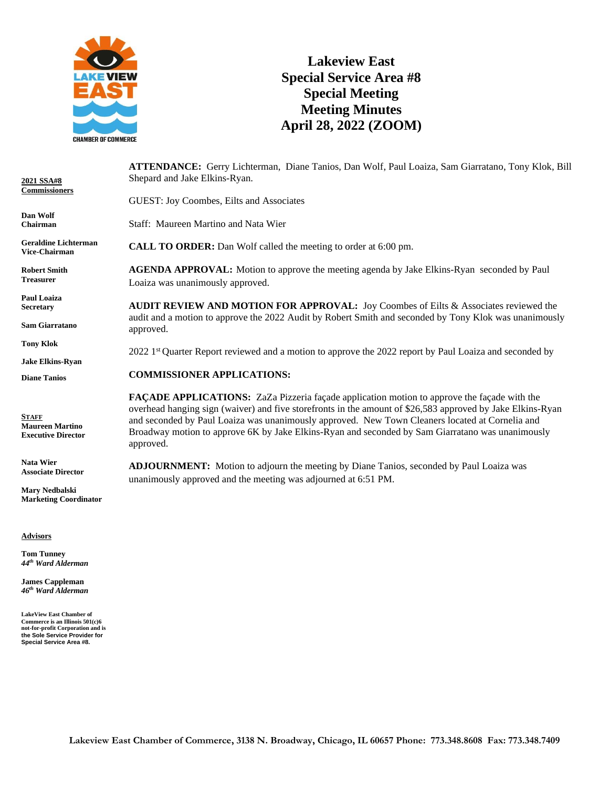

## **Lakeview East Special Service Area #8 Special Meeting Meeting Minutes April 28, 2022 (ZOOM)**

| 2021 SSA#8<br>Commissioners                                         | ATTENDANCE: Gerry Lichterman, Diane Tanios, Dan Wolf, Paul Loaiza, Sam Giarratano, Tony Klok, Bill<br>Shepard and Jake Elkins-Ryan.                                                                                                                                                                                                                                                                                                 |
|---------------------------------------------------------------------|-------------------------------------------------------------------------------------------------------------------------------------------------------------------------------------------------------------------------------------------------------------------------------------------------------------------------------------------------------------------------------------------------------------------------------------|
|                                                                     | GUEST: Joy Coombes, Eilts and Associates                                                                                                                                                                                                                                                                                                                                                                                            |
| Dan Wolf<br>Chairman                                                | Staff: Maureen Martino and Nata Wier                                                                                                                                                                                                                                                                                                                                                                                                |
| <b>Geraldine Lichterman</b><br><b>Vice-Chairman</b>                 | <b>CALL TO ORDER:</b> Dan Wolf called the meeting to order at 6:00 pm.                                                                                                                                                                                                                                                                                                                                                              |
| <b>Robert Smith</b><br><b>Treasurer</b>                             | <b>AGENDA APPROVAL:</b> Motion to approve the meeting agenda by Jake Elkins-Ryan seconded by Paul<br>Loaiza was unanimously approved.                                                                                                                                                                                                                                                                                               |
| <b>Paul Loaiza</b><br><b>Secretary</b>                              | <b>AUDIT REVIEW AND MOTION FOR APPROVAL:</b> Joy Coombes of Eilts & Associates reviewed the<br>audit and a motion to approve the 2022 Audit by Robert Smith and seconded by Tony Klok was unanimously                                                                                                                                                                                                                               |
| <b>Sam Giarratano</b>                                               | approved.                                                                                                                                                                                                                                                                                                                                                                                                                           |
| <b>Tony Klok</b>                                                    | 2022 1 <sup>st</sup> Quarter Report reviewed and a motion to approve the 2022 report by Paul Loaiza and seconded by                                                                                                                                                                                                                                                                                                                 |
| <b>Jake Elkins-Ryan</b>                                             |                                                                                                                                                                                                                                                                                                                                                                                                                                     |
| <b>Diane Tanios</b>                                                 | <b>COMMISSIONER APPLICATIONS:</b>                                                                                                                                                                                                                                                                                                                                                                                                   |
| <b>STAFF</b><br><b>Maureen Martino</b><br><b>Executive Director</b> | <b>FAÇADE APPLICATIONS:</b> ZaZa Pizzeria façade application motion to approve the façade with the<br>overhead hanging sign (waiver) and five storefronts in the amount of \$26,583 approved by Jake Elkins-Ryan<br>and seconded by Paul Loaiza was unanimously approved. New Town Cleaners located at Cornelia and<br>Broadway motion to approve 6K by Jake Elkins-Ryan and seconded by Sam Giarratano was unanimously<br>annrovad |

**Advisors**

**Nata Wier Associate Director Mary Nedbalski Marketing Coordinator**

**Tom Tunney** *44th Ward Alderman*

**James Cappleman** *46th Ward Alderman*

**LakeView East Chamber of Commerce is an Illinois 501(c)6 not-for-profit Corporation and is the Sole Service Provider for Special Service Area #8.** approved.

**ADJOURNMENT:** Motion to adjourn the meeting by Diane Tanios, seconded by Paul Loaiza was unanimously approved and the meeting was adjourned at 6:51 PM.